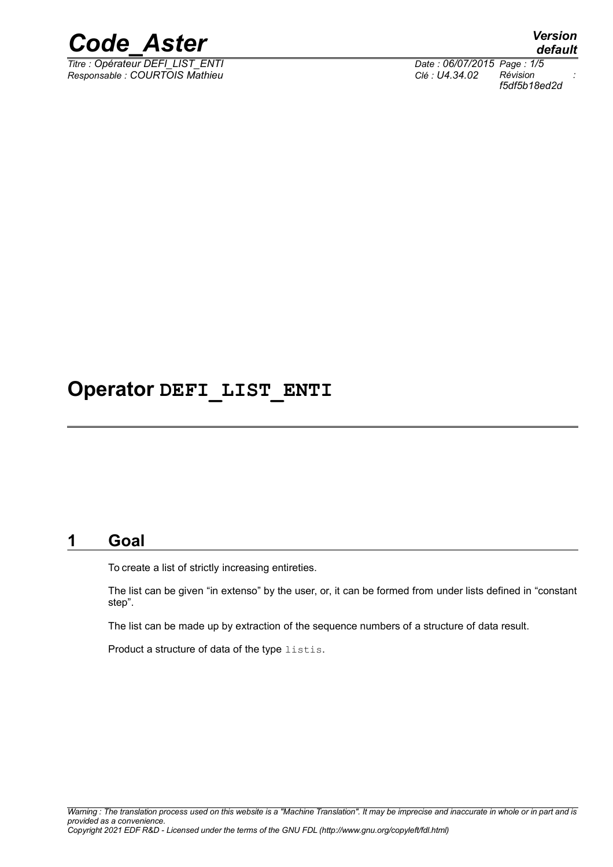

*Titre : Opérateur DEFI\_LIST\_ENTI Date : 06/07/2015 Page : 1/5 Responsable : COURTOIS Mathieu Clé : U4.34.02 Révision :*

*default f5df5b18ed2d*

## **Operator DEFI\_LIST\_ENTI**

## **1 Goal**

To create a list of strictly increasing entireties.

The list can be given "in extenso" by the user, or, it can be formed from under lists defined in "constant step".

The list can be made up by extraction of the sequence numbers of a structure of data result.

Product a structure of data of the type listis.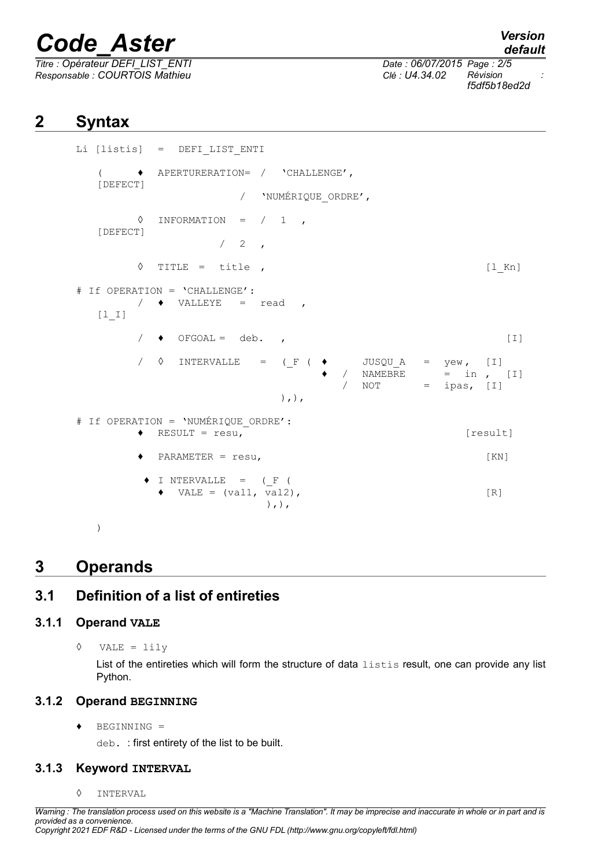## *Code\_Aster Version*

*Titre : Opérateur DEFI\_LIST\_ENTI Date : 06/07/2015 Page : 2/5 Responsable : COURTOIS Mathieu Clé : U4.34.02 Révision :*

*default f5df5b18ed2d*

## **2 Syntax**

```
Li [listis] = DEFI_LIST_ENTI
  ( ♦ APERTURERATION= / 'CHALLENGE',
  [DEFECT]
                     / 'NUMÉRIQUE_ORDRE',
        \Diamond INFORMATION = / 1[DEFECT]
                  /2\Diamond TITLE = title , [1 Kn]# If OPERATION = 'CHALLENGE':
        \sqrt{ } \blacklozenge VALLEYE = read ,
  [1_1]/ \rightarrow OFGOAL = deb. , [I]
        \sqrt{6} INTERVALLE = (F (\rightarrow JUSQUA = yew, [I]
                                   / NAMEBRE = in , [I]
                                   / NOT = ipas, [I]),),
# If OPERATION = 'NUMÉRIQUE ORDRE':
        \triangleleft RESULT = resu, [result]\blacklozenge PARAMETER = resu, \lbrack [KN]
        \blacklozenge I NTERVALLE = (F (
          \bullet VALE = (val1, val2), [R]
                        ), ),
```
)

### **3 Operands**

### **3.1 Definition of a list of entireties**

#### **3.1.1 Operand VALE**

◊ VALE = lily

List of the entireties which will form the structure of data listis result, one can provide any list Python.

#### **3.1.2 Operand BEGINNING**

♦ BEGINNING =

deb. : first entirety of the list to be built.

#### **3.1.3 Keyword INTERVAL**

◊ INTERVAL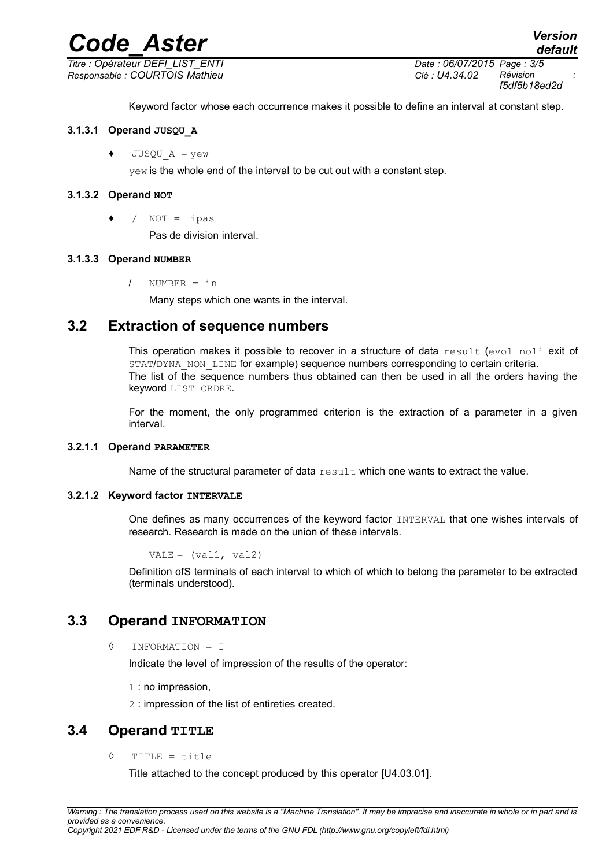## *Code\_Aster Version*

*Titre : Opérateur DEFI\_LIST\_ENTI Date : 06/07/2015 Page : 3/5 Responsable : COURTOIS Mathieu Clé : U4.34.02 Révision :*

*f5df5b18ed2d*

Keyword factor whose each occurrence makes it possible to define an interval at constant step.

#### **3.1.3.1 Operand JUSQU\_A**

 $JUSOU A = vew$ 

yew is the whole end of the interval to be cut out with a constant step.

#### **3.1.3.2 Operand NOT**

 $\bullet$  / NOT = ipas

Pas de division interval.

#### **3.1.3.3 Operand NUMBER**

/ NUMBER = in

Many steps which one wants in the interval.

#### **3.2 Extraction of sequence numbers**

This operation makes it possible to recover in a structure of data result (evol noli exit of STAT/DYNA NON LINE for example) sequence numbers corresponding to certain criteria. The list of the sequence numbers thus obtained can then be used in all the orders having the keyword LIST\_ORDRE.

For the moment, the only programmed criterion is the extraction of a parameter in a given interval.

#### **3.2.1.1 Operand PARAMETER**

Name of the structural parameter of data  $result$  which one wants to extract the value.

#### **3.2.1.2 Keyword factor INTERVALE**

One defines as many occurrences of the keyword factor INTERVAL that one wishes intervals of research. Research is made on the union of these intervals.

 $VALE = (val1, val2)$ 

Definition ofS terminals of each interval to which of which to belong the parameter to be extracted (terminals understood).

#### **3.3 Operand INFORMATION**

◊ INFORMATION = I

Indicate the level of impression of the results of the operator:

1 : no impression,

2 : impression of the list of entireties created.

#### **3.4 Operand TITLE**

◊ TITLE = title

Title attached to the concept produced by this operator [U4.03.01].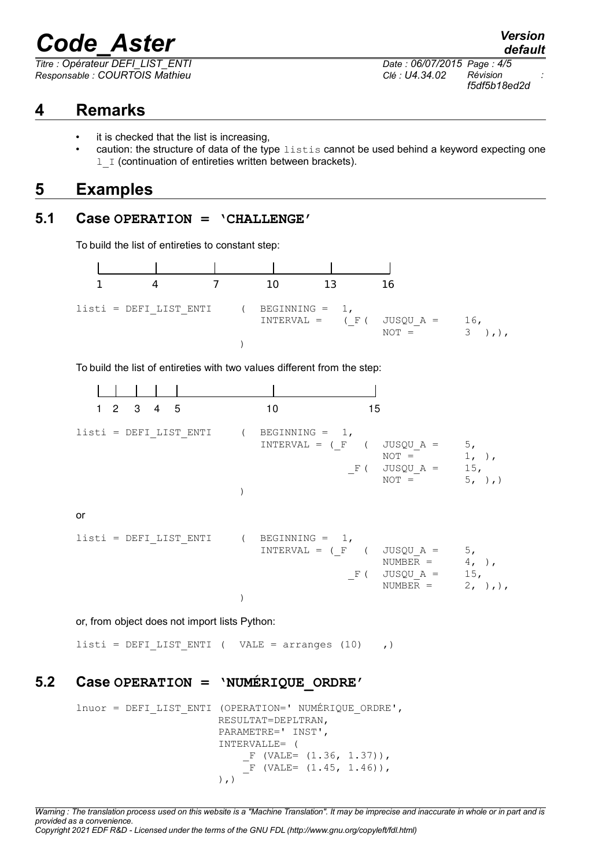# *Code\_Aster Version*

*Titre : Opérateur DEFI\_LIST\_ENTI Date : 06/07/2015 Page : 4/5 Responsable : COURTOIS Mathieu Clé : U4.34.02 Révision :*

## **4 Remarks**

- it is checked that the list is increasing,
- caution: the structure of data of the type  $listis$  cannot be used behind a keyword expecting one 1 I (continuation of entireties written between brackets).

## **5 Examples**

#### **5.1 Case OPERATION = 'CHALLENGE'**

To build the list of entireties to constant step:



To build the list of entireties with two values different from the step:

| $1 2 3 4 5$                               | 10<br>15                   |                                                                                                                              |
|-------------------------------------------|----------------------------|------------------------------------------------------------------------------------------------------------------------------|
| $listi = DEFI LIST ENTI$ ( BEGINNING = 1, | $INTERVAL = (F (JUSQU_A =$ | 5 <sub>1</sub><br>$1, \cdot)$ ,<br>$NOT =$<br>$\text{F}$ ( $\text{JUSQU}_A = 15$ ,<br>5, ),<br>$NOT =$                       |
| or                                        |                            |                                                                                                                              |
| $listi = DEFI LIST ENTI$ ( BEGINNING = 1, | $INTERVAL = (F (JUSQU A =$ | 5 <sub>1</sub><br>$4, \cdot \cdot$<br>$NUMBER =$<br>$F$ ( $JUSQU_A =$<br>15,<br>$2, \rightarrow, \rightarrow,$<br>$NUMBER =$ |

or, from object does not import lists Python:

listi = DEFI LIST ENTI ( VALE = arranges (10) ,)

#### **5.2 Case OPERATION = 'NUMÉRIQUE\_ORDRE'**

lnuor = DEFI\_LIST\_ENTI (OPERATION=' NUMÉRIQUE\_ORDRE', RESULTAT=DEPLTRAN, PARAMETRE=' INST', INTERVALLE= (  $F$  (VALE=  $(1.36, 1.37))$ ,  $\overline{F}$  (VALE= (1.45, 1.46)),  $\left( \begin{array}{c} \cdot \\ \cdot \end{array} \right)$ 

*Warning : The translation process used on this website is a "Machine Translation". It may be imprecise and inaccurate in whole or in part and is provided as a convenience. Copyright 2021 EDF R&D - Licensed under the terms of the GNU FDL (http://www.gnu.org/copyleft/fdl.html)*

*default*

*f5df5b18ed2d*